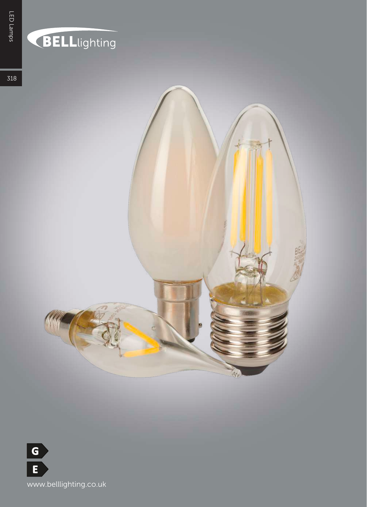318

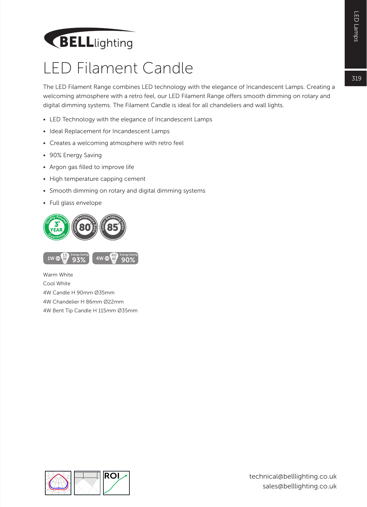### LED Filament Candle

The LED Filament Range combines LED technology with the elegance of Incandescent Lamps. Creating a welcoming atmosphere with a retro feel, our LED Filament Range offers smooth dimming on rotary and digital dimming systems. The Filament Candle is ideal for all chandeliers and wall lights.

- LED Technology with the elegance of Incandescent Lamps
- Ideal Replacement for Incandescent Lamps
- Creates a welcoming atmosphere with retro feel
- 90% Energy Saving
- Argon gas filled to improve life
- High temperature capping cement
- Smooth dimming on rotary and digital dimming systems
- Full glass envelope



 $1W<sub>6</sub>$  $\overline{15}$  Energy Saving  $\boxed{\frac{15}{W}}$  Shergy Saving 4W  $\ominus$   $\boxed{\frac{40}{W}}$  50% W

Warm White Cool White 4W Candle H 90mm Ø35mm 4W Chandelier H 86mm Ø22mm 4W Bent Tip Candle H 115mm Ø35mm

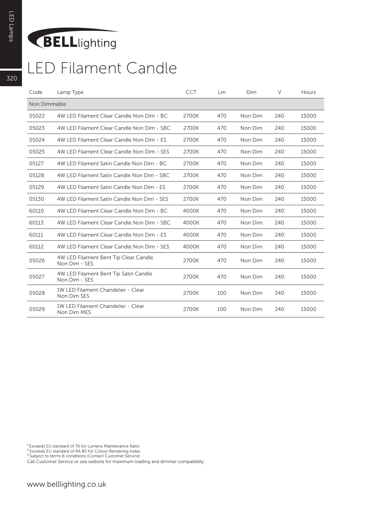#### LED Filament Candle

| Code         | Lamp Type                                              | <b>CCT</b> | Lm  | Dim     | V   | Hours |  |  |  |  |
|--------------|--------------------------------------------------------|------------|-----|---------|-----|-------|--|--|--|--|
| Non Dimmable |                                                        |            |     |         |     |       |  |  |  |  |
| 05022        | 4W LED Filament Clear Candle Non Dim - BC              | 2700K      | 470 | Non Dim | 240 | 15000 |  |  |  |  |
| 05023        | 4W LED Filament Clear Candle Non Dim - SBC             | 2700K      | 470 | Non Dim | 240 | 15000 |  |  |  |  |
| 05024        | 4W LED Filament Clear Candle Non Dim - ES              | 2700K      | 470 | Non Dim | 240 | 15000 |  |  |  |  |
| 05025        | 4W LED Filament Clear Candle Non Dim - SES             | 2700K      | 470 | Non Dim | 240 | 15000 |  |  |  |  |
| 05127        | 4W LED Filament Satin Candle Non Dim - BC              | 2700K      | 470 | Non Dim | 240 | 15000 |  |  |  |  |
| 05128        | 4W LED Filament Satin Candle Non Dim - SBC             | 2700K      | 470 | Non Dim | 240 | 15000 |  |  |  |  |
| 05129        | 4W LED Filament Satin Candle Non Dim - ES              | 2700K      | 470 | Non Dim | 240 | 15000 |  |  |  |  |
| 05130        | 4W LED Filament Satin Candle Non Dim - SES             | 2700K      | 470 | Non Dim | 240 | 15000 |  |  |  |  |
| 60110        | 4W LED Filament Clear Candle Non Dim - BC              | 4000K      | 470 | Non Dim | 240 | 15000 |  |  |  |  |
| 60113        | 4W LED Filament Clear Candle Non Dim - SBC             | 4000K      | 470 | Non Dim | 240 | 15000 |  |  |  |  |
| 60111        | 4W LED Filament Clear Candle Non Dim - ES              | 4000K      | 470 | Non Dim | 240 | 15000 |  |  |  |  |
| 60112        | 4W LED Filament Clear Candle Non Dim - SES             | 4000K      | 470 | Non Dim | 240 | 15000 |  |  |  |  |
| 05026        | 4W LED Filament Bent Tip Clear Candle<br>Non Dim - SES | 2700K      | 470 | Non Dim | 240 | 15000 |  |  |  |  |
| 05027        | 4W LED Filament Bent Tip Satin Candle<br>Non Dim - SES | 2700K      | 470 | Non Dim | 240 | 15000 |  |  |  |  |
| 05028        | 1W LED Filament Chandelier - Clear<br>Non Dim SES      | 2700K      | 100 | Non Dim | 240 | 15000 |  |  |  |  |
| 05029        | 1W LED Filament Chandelier - Clear<br>Non Dim MES      | 2700K      | 100 | Non Dim | 240 | 15000 |  |  |  |  |

1 Exceeds EU standard of 70 for Lumens Maintenance Ratio

<sup>2</sup> Exceeds EU standard of RA 80 for Colour Rendering Index<br><sup>3</sup> Subject to terms & conditions (Contact Customer Service)

Call Customer Service or see website for maximum loading and dimmer compatibility.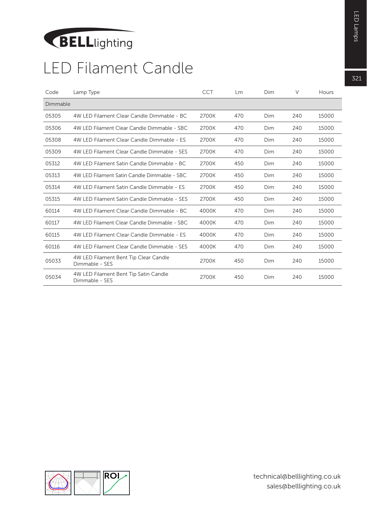#### LED Filament Candle

| Lamp Type                                               | CCT   | $\mathsf{L}\mathsf{m}$ | Dim | V   | Hours |  |  |  |  |
|---------------------------------------------------------|-------|------------------------|-----|-----|-------|--|--|--|--|
| Dimmable                                                |       |                        |     |     |       |  |  |  |  |
| 4W LED Filament Clear Candle Dimmable - BC              | 2700K | 470                    | Dim | 240 | 15000 |  |  |  |  |
| 4W LED Filament Clear Candle Dimmable - SBC             | 2700K | 470                    | Dim | 240 | 15000 |  |  |  |  |
| 4W LED Filament Clear Candle Dimmable - ES              | 2700K | 470                    | Dim | 240 | 15000 |  |  |  |  |
| 4W LED Filament Clear Candle Dimmable - SES             | 2700K | 470                    | Dim | 240 | 15000 |  |  |  |  |
| 4W LED Filament Satin Candle Dimmable - BC              | 2700K | 450                    | Dim | 240 | 15000 |  |  |  |  |
| 4W LED Filament Satin Candle Dimmable - SBC             | 2700K | 450                    | Dim | 240 | 15000 |  |  |  |  |
| 4W LED Filament Satin Candle Dimmable - ES              | 2700K | 450                    | Dim | 240 | 15000 |  |  |  |  |
| 4W LED Filament Satin Candle Dimmable - SES             | 2700K | 450                    | Dim | 240 | 15000 |  |  |  |  |
| 4W LED Filament Clear Candle Dimmable - BC              | 4000K | 470                    | Dim | 240 | 15000 |  |  |  |  |
| 4W LED Filament Clear Candle Dimmable - SBC             | 4000K | 470                    | Dim | 240 | 15000 |  |  |  |  |
| 4W LED Filament Clear Candle Dimmable - ES              | 4000K | 470                    | Dim | 240 | 15000 |  |  |  |  |
| 4W LED Filament Clear Candle Dimmable - SES             | 4000K | 470                    | Dim | 240 | 15000 |  |  |  |  |
| 4W LED Filament Bent Tip Clear Candle<br>Dimmable - SES | 2700K | 450                    | Dim | 240 | 15000 |  |  |  |  |
| 4W LED Filament Bent Tip Satin Candle<br>Dimmable - SES | 2700K | 450                    | Dim | 240 | 15000 |  |  |  |  |
|                                                         |       |                        |     |     |       |  |  |  |  |

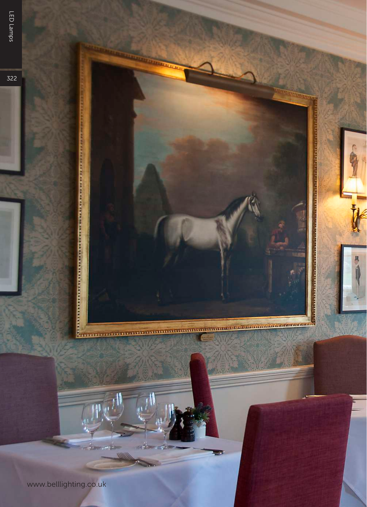